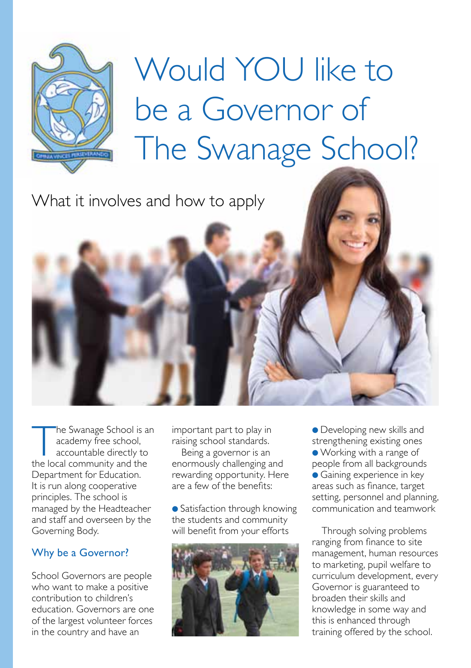

# Would YOU like to be a Governor of The Swanage School?

What it involves and how to apply

The Swanage School is an<br>
academy free school,<br>
accountable directly to<br>
the local community and the academy free school, accountable directly to Department for Education. It is run along cooperative principles. The school is managed by the Headteacher and staff and overseen by the Governing Body.

### Why be a Governor?

School Governors are people who want to make a positive contribution to children's education. Governors are one of the largest volunteer forces in the country and have an

important part to play in raising school standards.

Being a governor is an enormously challenging and rewarding opportunity. Here are a few of the benefits:

● Satisfaction through knowing the students and community will benefit from your efforts



● Developing new skills and strengthening existing ones ● Working with a range of people from all backgrounds ● Gaining experience in key areas such as finance, target setting, personnel and planning, communication and teamwork

Through solving problems ranging from finance to site management, human resources to marketing, pupil welfare to curriculum development, every Governor is guaranteed to broaden their skills and knowledge in some way and this is enhanced through training offered by the school.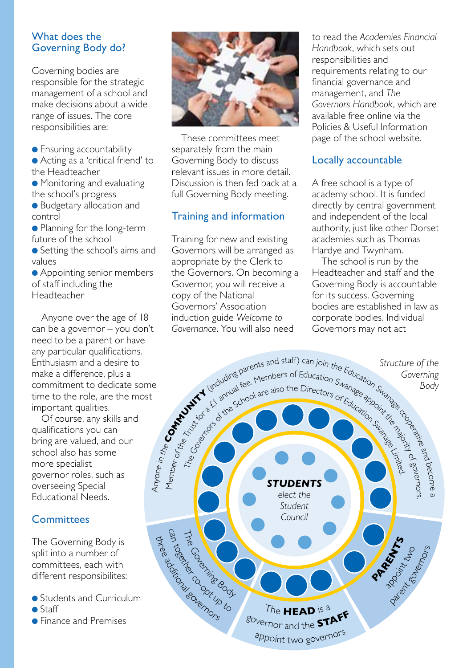#### What does the Governing Body do?

Governing bodies are responsible for the strategic management of a school and make decisions about a wide range of issues. The core responsibilities are:

● Ensuring accountability

● Acting as a 'critical friend' to the Headteacher

● Monitoring and evaluating the school's progress

● Budgetary allocation and control

● Planning for the long-term future of the school

● Setting the school's aims and values

● Appointing senior members of staff including the Headteacher

Anyone over the age of 18 can be a governor – you don't need to be a parent or have any particular qualifications. Enthusiasm and a desire to make a difference, plus a commitment to dedicate some time to the role, are the most important qualities.

Of course, any skills and qualifications you can bring are valued, and our school also has some more specialist governor roles, such as overseeing Special Educational Needs.

## **Committees**

The Governing Body is split into a number of committees, each with different responsibilites:

● Students and Curriculum ■ Staff

● Finance and Premises



These committees meet separately from the main Governing Body to discuss relevant issues in more detail. Discussion is then fed back at a full Governing Body meeting.

## Training and information

Training for new and existing Governors will be arranged as appropriate by the Clerk to the Governors. On becoming a Governor, you will receive a copy of the National Governors' Association induction guide *Welcome to Governance*. You will also need

to read the *Academies Financial Handbook*, which sets out responsibilities and requirements relating to our financial governance and management, and *The Governors Handbook*, which are available free online via the Policies & Useful Information page of the school website.

## Locally accountable

A free school is a type of academy school. It is funded directly by central government and independent of the local authority, just like other Dorset academies such as Thomas Hardye and Twynham.

The school is run by the Headteacher and staff and the Governing Body is accountable for its success. Governing bodies are established in law as corporate bodies. Individual Governors may not act

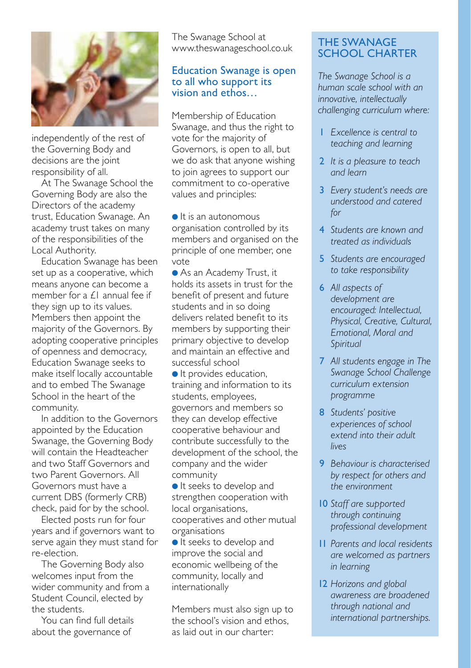

independently of the rest of the Governing Body and decisions are the joint responsibility of all.

At The Swanage School the Governing Body are also the Directors of the academy trust, Education Swanage. An academy trust takes on many of the responsibilities of the Local Authority.

Education Swanage has been set up as a cooperative, which means anyone can become a member for a  $f_1$  annual fee if they sign up to its values. Members then appoint the majority of the Governors. By adopting cooperative principles of openness and democracy, Education Swanage seeks to make itself locally accountable and to embed The Swanage School in the heart of the community.

In addition to the Governors appointed by the Education Swanage, the Governing Body will contain the Headteacher and two Staff Governors and two Parent Governors. All Governors must have a current DBS (formerly CRB) check, paid for by the school.

Elected posts run for four years and if governors want to serve again they must stand for re‑election.

The Governing Body also welcomes input from the wider community and from a Student Council, elected by the students.

You can find full details about the governance of

The Swanage School at www.theswanageschool.co.uk

#### Education Swanage is open to all who support its vision and ethos…

Membership of Education Swanage, and thus the right to vote for the majority of Governors, is open to all, but we do ask that anyone wishing to join agrees to support our commitment to co‑operative values and principles:

● It is an autonomous organisation controlled by its members and organised on the principle of one member, one vote

● As an Academy Trust, it holds its assets in trust for the benefit of present and future students and in so doing delivers related benefit to its members by supporting their primary objective to develop and maintain an effective and successful school

● It provides education, training and information to its students, employees, governors and members so they can develop effective cooperative behaviour and contribute successfully to the development of the school, the company and the wider community

● It seeks to develop and strengthen cooperation with local organisations, cooperatives and other mutual organisations

● It seeks to develop and improve the social and economic wellbeing of the community, locally and internationally

Members must also sign up to the school's vision and ethos, as laid out in our charter:

#### THE SWANAGE SCHOOL CHARTER

*The Swanage School is a human scale school with an innovative, intellectually challenging curriculum where:*

- 1 *Excellence is central to teaching and learning*
- 2 *It is a pleasure to teach and learn*
- 3 *Every student's needs are understood and catered for*
- 4 *Students are known and treated as individuals*
- 5 *Students are encouraged to take responsibility*
- 6 *All aspects of development are encouraged: Intellectual, Physical, Creative, Cultural, Emotional, Moral and Spiritual*
- 7 *All students engage in The Swanage School Challenge curriculum extension programme*
- 8 *Students' positive experiences of school extend into their adult lives*
- 9 *Behaviour is characterised by respect for others and the environment*
- 10 *Staff are supported through continuing professional development*
- 11 *Parents and local residents are welcomed as partners in learning*
- 12 *Horizons and global awareness are broadened through national and international partnerships.*